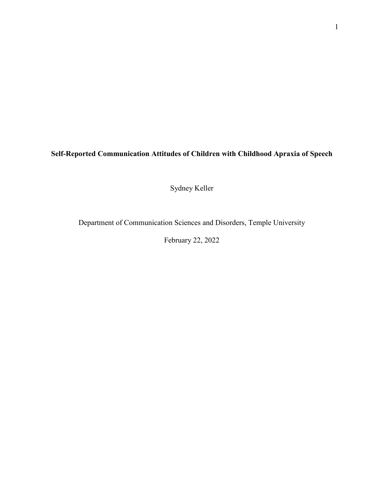**Self-Reported Communication Attitudes of Children with Childhood Apraxia of Speech**

Sydney Keller

Department of Communication Sciences and Disorders, Temple University

February 22, 2022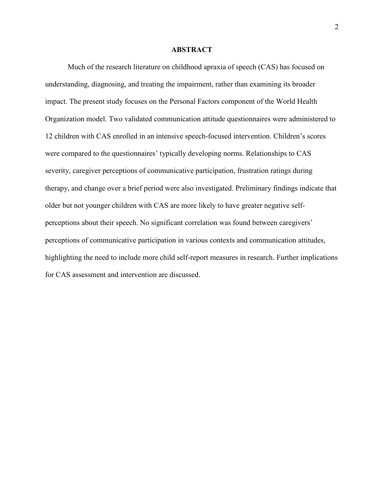# **ABSTRACT**

Much of the research literature on childhood apraxia of speech (CAS) has focused on understanding, diagnosing, and treating the impairment, rather than examining its broader impact. The present study focuses on the Personal Factors component of the World Health Organization model. Two validated communication attitude questionnaires were administered to 12 children with CAS enrolled in an intensive speech-focused intervention. Children's scores were compared to the questionnaires' typically developing norms. Relationships to CAS severity, caregiver perceptions of communicative participation, frustration ratings during therapy, and change over a brief period were also investigated. Preliminary findings indicate that older but not younger children with CAS are more likely to have greater negative selfperceptions about their speech. No significant correlation was found between caregivers' perceptions of communicative participation in various contexts and communication attitudes, highlighting the need to include more child self-report measures in research. Further implications for CAS assessment and intervention are discussed.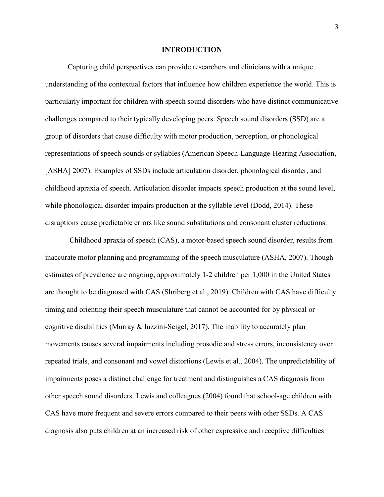### **INTRODUCTION**

Capturing child perspectives can provide researchers and clinicians with a unique understanding of the contextual factors that influence how children experience the world. This is particularly important for children with speech sound disorders who have distinct communicative challenges compared to their typically developing peers. Speech sound disorders (SSD) are a group of disorders that cause difficulty with motor production, perception, or phonological representations of speech sounds or syllables (American Speech-Language-Hearing Association, [ASHA] 2007). Examples of SSDs include articulation disorder, phonological disorder, and childhood apraxia of speech. Articulation disorder impacts speech production at the sound level, while phonological disorder impairs production at the syllable level (Dodd, 2014). These disruptions cause predictable errors like sound substitutions and consonant cluster reductions.

 Childhood apraxia of speech (CAS), a motor-based speech sound disorder, results from inaccurate motor planning and programming of the speech musculature (ASHA, 2007). Though estimates of prevalence are ongoing, approximately 1-2 children per 1,000 in the United States are thought to be diagnosed with CAS (Shriberg et al., 2019). Children with CAS have difficulty timing and orienting their speech musculature that cannot be accounted for by physical or cognitive disabilities (Murray & Iuzzini-Seigel, 2017). The inability to accurately plan movements causes several impairments including prosodic and stress errors, inconsistency over repeated trials, and consonant and vowel distortions (Lewis et al., 2004). The unpredictability of impairments poses a distinct challenge for treatment and distinguishes a CAS diagnosis from other speech sound disorders. Lewis and colleagues (2004) found that school-age children with CAS have more frequent and severe errors compared to their peers with other SSDs. A CAS diagnosis also puts children at an increased risk of other expressive and receptive difficulties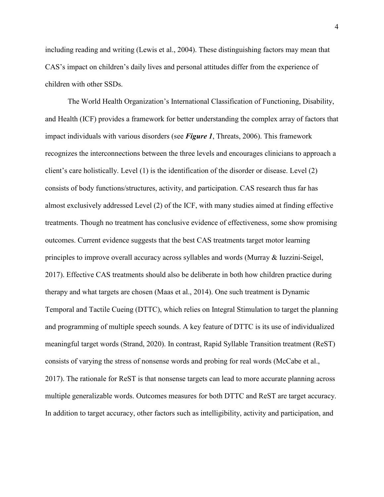including reading and writing (Lewis et al., 2004). These distinguishing factors may mean that CAS's impact on children's daily lives and personal attitudes differ from the experience of children with other SSDs.

The World Health Organization's International Classification of Functioning, Disability, and Health (ICF) provides a framework for better understanding the complex array of factors that impact individuals with various disorders (see *Figure 1*, Threats, 2006). This framework recognizes the interconnections between the three levels and encourages clinicians to approach a client's care holistically. Level (1) is the identification of the disorder or disease. Level (2) consists of body functions/structures, activity, and participation. CAS research thus far has almost exclusively addressed Level (2) of the ICF, with many studies aimed at finding effective treatments. Though no treatment has conclusive evidence of effectiveness, some show promising outcomes. Current evidence suggests that the best CAS treatments target motor learning principles to improve overall accuracy across syllables and words (Murray & Iuzzini-Seigel, 2017). Effective CAS treatments should also be deliberate in both how children practice during therapy and what targets are chosen (Maas et al., 2014). One such treatment is Dynamic Temporal and Tactile Cueing (DTTC), which relies on Integral Stimulation to target the planning and programming of multiple speech sounds. A key feature of DTTC is its use of individualized meaningful target words (Strand, 2020). In contrast, Rapid Syllable Transition treatment (ReST) consists of varying the stress of nonsense words and probing for real words (McCabe et al., 2017). The rationale for ReST is that nonsense targets can lead to more accurate planning across multiple generalizable words. Outcomes measures for both DTTC and ReST are target accuracy. In addition to target accuracy, other factors such as intelligibility, activity and participation, and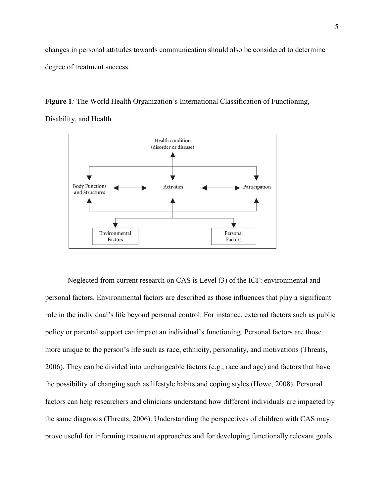changes in personal attitudes towards communication should also be considered to determine degree of treatment success.

**Figure 1***:* The World Health Organization's International Classification of Functioning, Disability, and Health



Neglected from current research on CAS is Level (3) of the ICF: environmental and personal factors. Environmental factors are described as those influences that play a significant role in the individual's life beyond personal control. For instance, external factors such as public policy or parental support can impact an individual's functioning. Personal factors are those more unique to the person's life such as race, ethnicity, personality, and motivations (Threats, 2006). They can be divided into unchangeable factors (e.g., race and age) and factors that have the possibility of changing such as lifestyle habits and coping styles (Howe, 2008). Personal factors can help researchers and clinicians understand how different individuals are impacted by the same diagnosis (Threats, 2006). Understanding the perspectives of children with CAS may prove useful for informing treatment approaches and for developing functionally relevant goals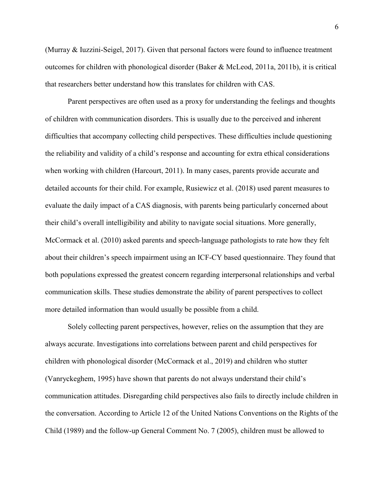(Murray & Iuzzini-Seigel, 2017). Given that personal factors were found to influence treatment outcomes for children with phonological disorder (Baker & McLeod, 2011a, 2011b), it is critical that researchers better understand how this translates for children with CAS.

Parent perspectives are often used as a proxy for understanding the feelings and thoughts of children with communication disorders. This is usually due to the perceived and inherent difficulties that accompany collecting child perspectives. These difficulties include questioning the reliability and validity of a child's response and accounting for extra ethical considerations when working with children (Harcourt, 2011). In many cases, parents provide accurate and detailed accounts for their child. For example, Rusiewicz et al. (2018) used parent measures to evaluate the daily impact of a CAS diagnosis, with parents being particularly concerned about their child's overall intelligibility and ability to navigate social situations. More generally, McCormack et al. (2010) asked parents and speech-language pathologists to rate how they felt about their children's speech impairment using an ICF-CY based questionnaire. They found that both populations expressed the greatest concern regarding interpersonal relationships and verbal communication skills. These studies demonstrate the ability of parent perspectives to collect more detailed information than would usually be possible from a child.

Solely collecting parent perspectives, however, relies on the assumption that they are always accurate. Investigations into correlations between parent and child perspectives for children with phonological disorder (McCormack et al., 2019) and children who stutter (Vanryckeghem, 1995) have shown that parents do not always understand their child's communication attitudes. Disregarding child perspectives also fails to directly include children in the conversation. According to Article 12 of the United Nations Conventions on the Rights of the Child (1989) and the follow-up General Comment No. 7 (2005), children must be allowed to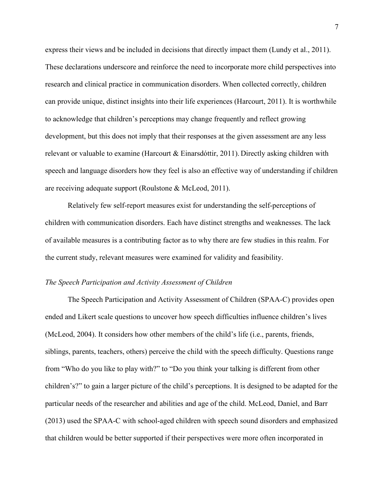express their views and be included in decisions that directly impact them (Lundy et al., 2011). These declarations underscore and reinforce the need to incorporate more child perspectives into research and clinical practice in communication disorders. When collected correctly, children can provide unique, distinct insights into their life experiences (Harcourt, 2011). It is worthwhile to acknowledge that children's perceptions may change frequently and reflect growing development, but this does not imply that their responses at the given assessment are any less relevant or valuable to examine (Harcourt & Einarsdóttir, 2011). Directly asking children with speech and language disorders how they feel is also an effective way of understanding if children are receiving adequate support (Roulstone & McLeod, 2011).

Relatively few self-report measures exist for understanding the self-perceptions of children with communication disorders. Each have distinct strengths and weaknesses. The lack of available measures is a contributing factor as to why there are few studies in this realm. For the current study, relevant measures were examined for validity and feasibility.

## *The Speech Participation and Activity Assessment of Children*

The Speech Participation and Activity Assessment of Children (SPAA-C) provides open ended and Likert scale questions to uncover how speech difficulties influence children's lives (McLeod, 2004). It considers how other members of the child's life (i.e., parents, friends, siblings, parents, teachers, others) perceive the child with the speech difficulty. Questions range from "Who do you like to play with?" to "Do you think your talking is different from other children's?" to gain a larger picture of the child's perceptions. It is designed to be adapted for the particular needs of the researcher and abilities and age of the child. McLeod, Daniel, and Barr (2013) used the SPAA-C with school-aged children with speech sound disorders and emphasized that children would be better supported if their perspectives were more often incorporated in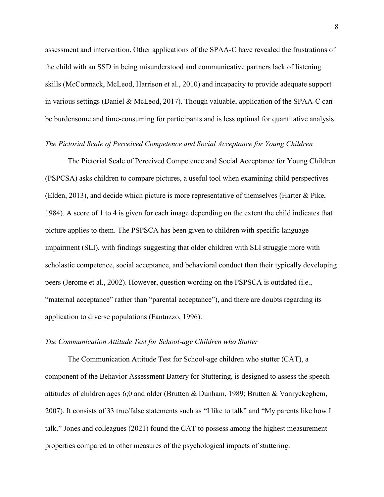assessment and intervention. Other applications of the SPAA-C have revealed the frustrations of the child with an SSD in being misunderstood and communicative partners lack of listening skills (McCormack, McLeod, Harrison et al., 2010) and incapacity to provide adequate support in various settings (Daniel & McLeod, 2017). Though valuable, application of the SPAA-C can be burdensome and time-consuming for participants and is less optimal for quantitative analysis.

### *The Pictorial Scale of Perceived Competence and Social Acceptance for Young Children*

The Pictorial Scale of Perceived Competence and Social Acceptance for Young Children (PSPCSA) asks children to compare pictures, a useful tool when examining child perspectives (Elden, 2013), and decide which picture is more representative of themselves (Harter & Pike, 1984). A score of 1 to 4 is given for each image depending on the extent the child indicates that picture applies to them. The PSPSCA has been given to children with specific language impairment (SLI), with findings suggesting that older children with SLI struggle more with scholastic competence, social acceptance, and behavioral conduct than their typically developing peers (Jerome et al., 2002). However, question wording on the PSPSCA is outdated (i.e., "maternal acceptance" rather than "parental acceptance"), and there are doubts regarding its application to diverse populations (Fantuzzo, 1996).

### *The Communication Attitude Test for School-age Children who Stutter*

The Communication Attitude Test for School-age children who stutter (CAT), a component of the Behavior Assessment Battery for Stuttering, is designed to assess the speech attitudes of children ages 6;0 and older (Brutten & Dunham, 1989; Brutten & Vanryckeghem, 2007). It consists of 33 true/false statements such as "I like to talk" and "My parents like how I talk." Jones and colleagues (2021) found the CAT to possess among the highest measurement properties compared to other measures of the psychological impacts of stuttering.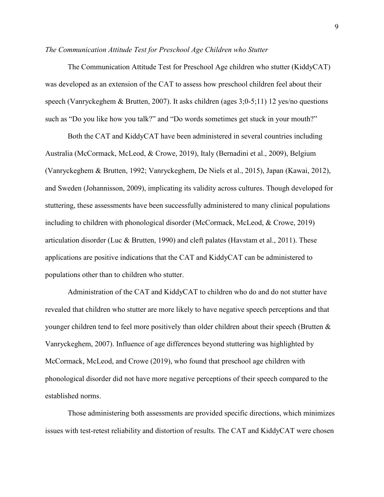### *The Communication Attitude Test for Preschool Age Children who Stutter*

The Communication Attitude Test for Preschool Age children who stutter (KiddyCAT) was developed as an extension of the CAT to assess how preschool children feel about their speech (Vanryckeghem & Brutten, 2007). It asks children (ages 3;0-5;11) 12 yes/no questions such as "Do you like how you talk?" and "Do words sometimes get stuck in your mouth?"

Both the CAT and KiddyCAT have been administered in several countries including Australia (McCormack, McLeod, & Crowe, 2019), Italy (Bernadini et al., 2009), Belgium (Vanryckeghem & Brutten, 1992; Vanryckeghem, De Niels et al., 2015), Japan (Kawai, 2012), and Sweden (Johannisson, 2009), implicating its validity across cultures. Though developed for stuttering, these assessments have been successfully administered to many clinical populations including to children with phonological disorder (McCormack, McLeod, & Crowe, 2019) articulation disorder (Luc & Brutten, 1990) and cleft palates (Havstam et al., 2011). These applications are positive indications that the CAT and KiddyCAT can be administered to populations other than to children who stutter.

Administration of the CAT and KiddyCAT to children who do and do not stutter have revealed that children who stutter are more likely to have negative speech perceptions and that younger children tend to feel more positively than older children about their speech (Brutten & Vanryckeghem, 2007). Influence of age differences beyond stuttering was highlighted by McCormack, McLeod, and Crowe (2019), who found that preschool age children with phonological disorder did not have more negative perceptions of their speech compared to the established norms.

Those administering both assessments are provided specific directions, which minimizes issues with test-retest reliability and distortion of results. The CAT and KiddyCAT were chosen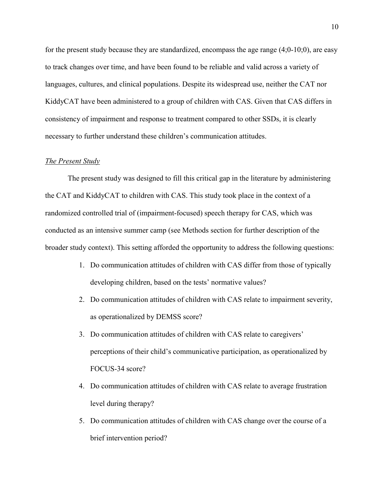for the present study because they are standardized, encompass the age range  $(4;0-10;0)$ , are easy to track changes over time, and have been found to be reliable and valid across a variety of languages, cultures, and clinical populations. Despite its widespread use, neither the CAT nor KiddyCAT have been administered to a group of children with CAS. Given that CAS differs in consistency of impairment and response to treatment compared to other SSDs, it is clearly necessary to further understand these children's communication attitudes.

#### *The Present Study*

The present study was designed to fill this critical gap in the literature by administering the CAT and KiddyCAT to children with CAS. This study took place in the context of a randomized controlled trial of (impairment-focused) speech therapy for CAS, which was conducted as an intensive summer camp (see Methods section for further description of the broader study context). This setting afforded the opportunity to address the following questions:

- 1. Do communication attitudes of children with CAS differ from those of typically developing children, based on the tests' normative values?
- 2. Do communication attitudes of children with CAS relate to impairment severity, as operationalized by DEMSS score?
- 3. Do communication attitudes of children with CAS relate to caregivers' perceptions of their child's communicative participation, as operationalized by FOCUS-34 score?
- 4. Do communication attitudes of children with CAS relate to average frustration level during therapy?
- 5. Do communication attitudes of children with CAS change over the course of a brief intervention period?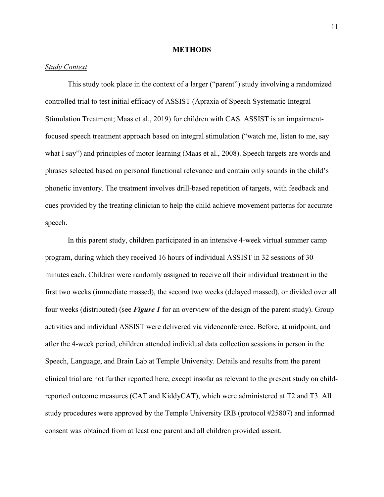### **METHODS**

## *Study Context*

 This study took place in the context of a larger ("parent") study involving a randomized controlled trial to test initial efficacy of ASSIST (Apraxia of Speech Systematic Integral Stimulation Treatment; Maas et al., 2019) for children with CAS. ASSIST is an impairmentfocused speech treatment approach based on integral stimulation ("watch me, listen to me, say what I say") and principles of motor learning (Maas et al., 2008). Speech targets are words and phrases selected based on personal functional relevance and contain only sounds in the child's phonetic inventory. The treatment involves drill-based repetition of targets, with feedback and cues provided by the treating clinician to help the child achieve movement patterns for accurate speech.

In this parent study, children participated in an intensive 4-week virtual summer camp program, during which they received 16 hours of individual ASSIST in 32 sessions of 30 minutes each. Children were randomly assigned to receive all their individual treatment in the first two weeks (immediate massed), the second two weeks (delayed massed), or divided over all four weeks (distributed) (see *Figure 1* for an overview of the design of the parent study). Group activities and individual ASSIST were delivered via videoconference. Before, at midpoint, and after the 4-week period, children attended individual data collection sessions in person in the Speech, Language, and Brain Lab at Temple University. Details and results from the parent clinical trial are not further reported here, except insofar as relevant to the present study on childreported outcome measures (CAT and KiddyCAT), which were administered at T2 and T3. All study procedures were approved by the Temple University IRB (protocol #25807) and informed consent was obtained from at least one parent and all children provided assent.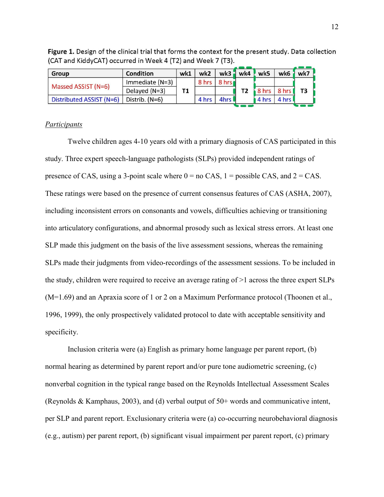| Group                    | <b>Condition</b>  | wk1 | wk2   |        | $wk3$ wk4 | wk5   | wk6   | wk7            |
|--------------------------|-------------------|-----|-------|--------|-----------|-------|-------|----------------|
| Massed ASSIST (N=6)      | Immediate $(N=3)$ |     | 8 hrs | 8 hrs  |           |       |       | T <sub>3</sub> |
|                          | Delayed (N=3)     | Τ1  |       |        |           | 8 hrs | 8 hrs |                |
| Distributed ASSIST (N=6) | Distrib. (N=6)    |     | 4 hrs | 4hrs l |           | 4 hrs | 4 hrs |                |
|                          |                   |     |       |        |           |       |       |                |

Figure 1. Design of the clinical trial that forms the context for the present study. Data collection (CAT and KiddyCAT) occurred in Week 4 (T2) and Week 7 (T3).

# *Participants*

Twelve children ages 4-10 years old with a primary diagnosis of CAS participated in this study. Three expert speech-language pathologists (SLPs) provided independent ratings of presence of CAS, using a 3-point scale where  $0 =$  no CAS,  $1 =$  possible CAS, and  $2 =$  CAS. These ratings were based on the presence of current consensus features of CAS (ASHA, 2007), including inconsistent errors on consonants and vowels, difficulties achieving or transitioning into articulatory configurations, and abnormal prosody such as lexical stress errors. At least one SLP made this judgment on the basis of the live assessment sessions, whereas the remaining SLPs made their judgments from video-recordings of the assessment sessions. To be included in the study, children were required to receive an average rating of >1 across the three expert SLPs (M=1.69) and an Apraxia score of 1 or 2 on a Maximum Performance protocol (Thoonen et al., 1996, 1999), the only prospectively validated protocol to date with acceptable sensitivity and specificity.

Inclusion criteria were (a) English as primary home language per parent report, (b) normal hearing as determined by parent report and/or pure tone audiometric screening, (c) nonverbal cognition in the typical range based on the Reynolds Intellectual Assessment Scales (Reynolds & Kamphaus, 2003), and (d) verbal output of 50+ words and communicative intent, per SLP and parent report. Exclusionary criteria were (a) co-occurring neurobehavioral diagnosis (e.g., autism) per parent report, (b) significant visual impairment per parent report, (c) primary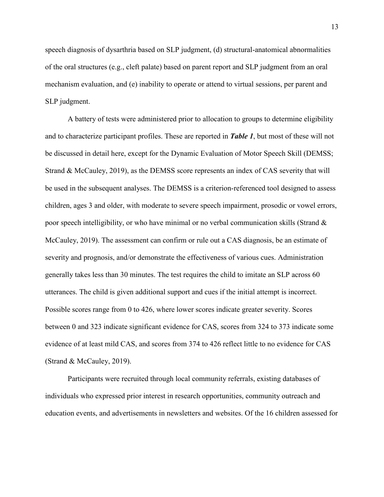speech diagnosis of dysarthria based on SLP judgment, (d) structural-anatomical abnormalities of the oral structures (e.g., cleft palate) based on parent report and SLP judgment from an oral mechanism evaluation, and (e) inability to operate or attend to virtual sessions, per parent and SLP judgment.

A battery of tests were administered prior to allocation to groups to determine eligibility and to characterize participant profiles. These are reported in *Table 1*, but most of these will not be discussed in detail here, except for the Dynamic Evaluation of Motor Speech Skill (DEMSS; Strand & McCauley, 2019), as the DEMSS score represents an index of CAS severity that will be used in the subsequent analyses. The DEMSS is a criterion-referenced tool designed to assess children, ages 3 and older, with moderate to severe speech impairment, prosodic or vowel errors, poor speech intelligibility, or who have minimal or no verbal communication skills (Strand & McCauley, 2019). The assessment can confirm or rule out a CAS diagnosis, be an estimate of severity and prognosis, and/or demonstrate the effectiveness of various cues. Administration generally takes less than 30 minutes. The test requires the child to imitate an SLP across 60 utterances. The child is given additional support and cues if the initial attempt is incorrect. Possible scores range from 0 to 426, where lower scores indicate greater severity. Scores between 0 and 323 indicate significant evidence for CAS, scores from 324 to 373 indicate some evidence of at least mild CAS, and scores from 374 to 426 reflect little to no evidence for CAS (Strand & McCauley, 2019).

Participants were recruited through local community referrals, existing databases of individuals who expressed prior interest in research opportunities, community outreach and education events, and advertisements in newsletters and websites. Of the 16 children assessed for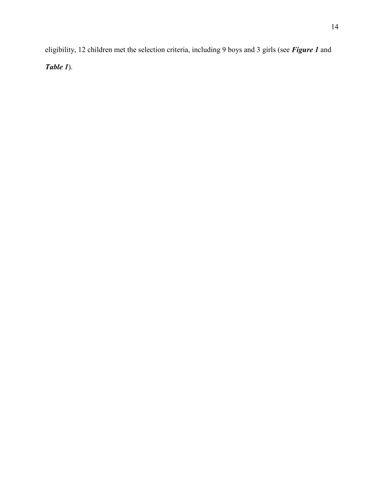eligibility, 12 children met the selection criteria, including 9 boys and 3 girls (see *Figure 1* and *Table 1*).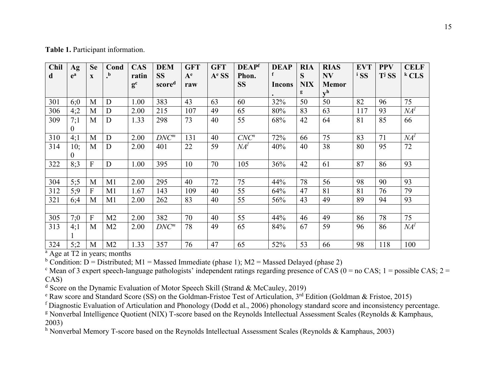**Table 1.** Participant information.

| <b>Chil</b><br>d | Ag<br>$e^a$ | <b>Se</b><br>$\mathbf{X}$ | Cond<br>$\cdot$ | <b>CAS</b><br>ratin  | <b>DEM</b><br><b>SS</b> | <b>GFT</b><br>$A^e$ | <b>GFT</b><br>$Ae$ SS | <b>DEAPf</b><br>Phon. | <b>DEAP</b><br>f | <b>RIA</b><br>S | <b>RIAS</b><br><b>NV</b>  | <b>EVT</b><br><sup>i</sup> SS | <b>PPV</b><br>T <sub>i</sub> S <sub>S</sub> | <b>CELF</b><br>$k$ CLS |
|------------------|-------------|---------------------------|-----------------|----------------------|-------------------------|---------------------|-----------------------|-----------------------|------------------|-----------------|---------------------------|-------------------------------|---------------------------------------------|------------------------|
|                  |             |                           |                 | $\mathbf{g}^{\rm c}$ | scored                  | raw                 |                       | <b>SS</b>             | <b>Incons</b>    | <b>NIX</b>      | <b>Memor</b>              |                               |                                             |                        |
|                  |             |                           |                 |                      |                         |                     |                       |                       |                  | g               | $\mathbf{v}^{\mathbf{h}}$ |                               |                                             |                        |
| 301              | 6:0         | M                         | D               | 1.00                 | 383                     | 43                  | 63                    | 60                    | 32%              | 50              | 50                        | 82                            | 96                                          | 75                     |
| 306              | 4:2         | M                         | D               | 2.00                 | 215                     | 107                 | 49                    | 65                    | 80%              | 83              | 63                        | 117                           | 93                                          | NA <sup>l</sup>        |
| 309              | 7:1         | M                         | D               | 1.33                 | 298                     | 73                  | 40                    | 55                    | 68%              | 42              | 64                        | 81                            | 85                                          | 66                     |
|                  | 0           |                           |                 |                      |                         |                     |                       |                       |                  |                 |                           |                               |                                             |                        |
| 310              | 4;1         | M                         | D               | 2.00                 | $DNC^m$                 | 131                 | 40                    | $CNC^n$               | 72%              | 66              | 75                        | 83                            | 71                                          | NA <sup>l</sup>        |
| 314              | 10;         | M                         | D               | 2.00                 | 401                     | 22                  | 59                    | NA <sup>l</sup>       | 40%              | 40              | 38                        | 80                            | 95                                          | 72                     |
|                  | 0           |                           |                 |                      |                         |                     |                       |                       |                  |                 |                           |                               |                                             |                        |
| 322              | 8:3         | F                         | D               | 1.00                 | 395                     | 10                  | 70                    | 105                   | 36%              | 42              | 61                        | 87                            | 86                                          | 93                     |
|                  |             |                           |                 |                      |                         |                     |                       |                       |                  |                 |                           |                               |                                             |                        |
| 304              | 5:5         | M                         | M1              | 2.00                 | 295                     | 40                  | 72                    | 75                    | 44%              | 78              | 56                        | 98                            | 90                                          | 93                     |
| 312              | 5:9         | F                         | M1              | 1.67                 | 143                     | 109                 | 40                    | 55                    | 64%              | 47              | 81                        | 81                            | 76                                          | 79                     |
| 321              | 6:4         | M                         | M1              | 2.00                 | 262                     | 83                  | 40                    | 55                    | 56%              | 43              | 49                        | 89                            | 94                                          | 93                     |
|                  |             |                           |                 |                      |                         |                     |                       |                       |                  |                 |                           |                               |                                             |                        |
| 305              | 7:0         | F                         | M <sub>2</sub>  | 2.00                 | 382                     | 70                  | 40                    | 55                    | 44%              | 46              | 49                        | 86                            | 78                                          | 75                     |
| 313              | 4;1         | M                         | M <sub>2</sub>  | 2.00                 | $DNC^m$                 | 78                  | 49                    | 65                    | 84%              | 67              | 59                        | 96                            | 86                                          | NA <sup>l</sup>        |
|                  |             |                           |                 |                      |                         |                     |                       |                       |                  |                 |                           |                               |                                             |                        |
| 324              | 5;2         | M                         | M <sub>2</sub>  | 1.33                 | 357                     | 76                  | 47                    | 65                    | 52%              | 53              | 66                        | 98                            | 118                                         | 100                    |

 $a$  Age at T2 in years; months

<sup>b</sup> Condition: D = Distributed; M1 = Massed Immediate (phase 1); M2 = Massed Delayed (phase 2)

<sup>c</sup> Mean of 3 expert speech-language pathologists' independent ratings regarding presence of CAS ( $0 =$  no CAS; 1 = possible CAS; 2 = CAS)<br>d Score on the Dynamic Evaluation of Motor Speech Skill (Strand & McCauley, 2019)

<sup>e</sup> Raw score and Standard Score (SS) on the Goldman-Fristoe Test of Articulation,  $3^{rd}$  Edition (Goldman & Fristoe, 2015)

<sup>f</sup> Diagnostic Evaluation of Articulation and Phonology (Dodd et al., 2006) phonology standard score and inconsistency percentage.

<sup>g</sup> Nonverbal Intelligence Quotient (NIX) T-score based on the Reynolds Intellectual Assessment Scales (Reynolds & Kamphaus, 2003)

<sup>h</sup> Nonverbal Memory T-score based on the Reynolds Intellectual Assessment Scales (Reynolds & Kamphaus, 2003)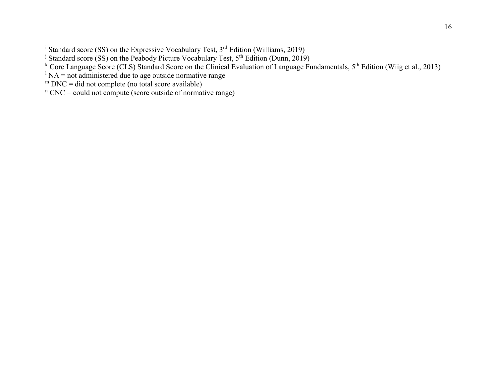<sup>i</sup> Standard score (SS) on the Expressive Vocabulary Test, 3<sup>rd</sup> Edition (Williams, 2019)

<sup>j</sup> Standard score (SS) on the Peabody Picture Vocabulary Test, 5<sup>th</sup> Edition (Dunn, 2019)

k Core Language Score (CLS) Standard Score on the Clinical Evaluation of Language Fundamentals, 5<sup>th</sup> Edition (Wiig et al., 2013)

 $\Delta$ <sup>1</sup> NA = not administered due to age outside normative range

 $m$  DNC = did not complete (no total score available)

 $n$  CNC = could not compute (score outside of normative range)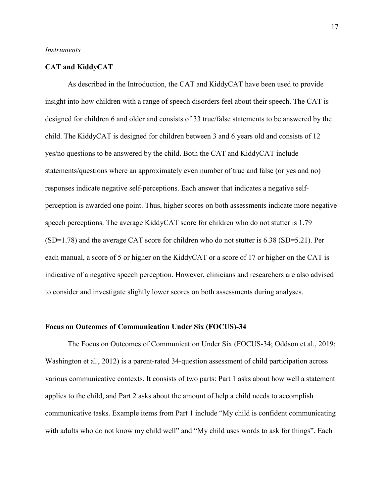#### *Instruments*

## **CAT and KiddyCAT**

As described in the Introduction, the CAT and KiddyCAT have been used to provide insight into how children with a range of speech disorders feel about their speech. The CAT is designed for children 6 and older and consists of 33 true/false statements to be answered by the child. The KiddyCAT is designed for children between 3 and 6 years old and consists of 12 yes/no questions to be answered by the child. Both the CAT and KiddyCAT include statements/questions where an approximately even number of true and false (or yes and no) responses indicate negative self-perceptions. Each answer that indicates a negative selfperception is awarded one point. Thus, higher scores on both assessments indicate more negative speech perceptions. The average KiddyCAT score for children who do not stutter is 1.79 (SD=1.78) and the average CAT score for children who do not stutter is 6.38 (SD=5.21). Per each manual, a score of 5 or higher on the KiddyCAT or a score of 17 or higher on the CAT is indicative of a negative speech perception. However, clinicians and researchers are also advised to consider and investigate slightly lower scores on both assessments during analyses.

## **Focus on Outcomes of Communication Under Six (FOCUS)-34**

The Focus on Outcomes of Communication Under Six (FOCUS-34; Oddson et al., 2019; Washington et al., 2012) is a parent-rated 34-question assessment of child participation across various communicative contexts. It consists of two parts: Part 1 asks about how well a statement applies to the child, and Part 2 asks about the amount of help a child needs to accomplish communicative tasks. Example items from Part 1 include "My child is confident communicating with adults who do not know my child well" and "My child uses words to ask for things". Each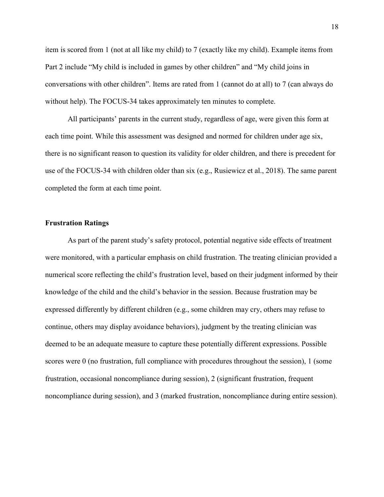item is scored from 1 (not at all like my child) to 7 (exactly like my child). Example items from Part 2 include "My child is included in games by other children" and "My child joins in conversations with other children". Items are rated from 1 (cannot do at all) to 7 (can always do without help). The FOCUS-34 takes approximately ten minutes to complete.

All participants' parents in the current study, regardless of age, were given this form at each time point. While this assessment was designed and normed for children under age six, there is no significant reason to question its validity for older children, and there is precedent for use of the FOCUS-34 with children older than six (e.g., Rusiewicz et al., 2018). The same parent completed the form at each time point.

# **Frustration Ratings**

As part of the parent study's safety protocol, potential negative side effects of treatment were monitored, with a particular emphasis on child frustration. The treating clinician provided a numerical score reflecting the child's frustration level, based on their judgment informed by their knowledge of the child and the child's behavior in the session. Because frustration may be expressed differently by different children (e.g., some children may cry, others may refuse to continue, others may display avoidance behaviors), judgment by the treating clinician was deemed to be an adequate measure to capture these potentially different expressions. Possible scores were 0 (no frustration, full compliance with procedures throughout the session), 1 (some frustration, occasional noncompliance during session), 2 (significant frustration, frequent noncompliance during session), and 3 (marked frustration, noncompliance during entire session).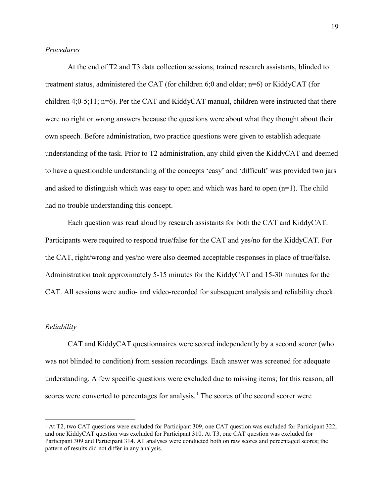## *Procedures*

At the end of T2 and T3 data collection sessions, trained research assistants, blinded to treatment status, administered the CAT (for children 6;0 and older; n=6) or KiddyCAT (for children 4;0-5;11; n=6). Per the CAT and KiddyCAT manual, children were instructed that there were no right or wrong answers because the questions were about what they thought about their own speech. Before administration, two practice questions were given to establish adequate understanding of the task. Prior to T2 administration, any child given the KiddyCAT and deemed to have a questionable understanding of the concepts 'easy' and 'difficult' was provided two jars and asked to distinguish which was easy to open and which was hard to open  $(n=1)$ . The child had no trouble understanding this concept.

Each question was read aloud by research assistants for both the CAT and KiddyCAT. Participants were required to respond true/false for the CAT and yes/no for the KiddyCAT. For the CAT, right/wrong and yes/no were also deemed acceptable responses in place of true/false. Administration took approximately 5-15 minutes for the KiddyCAT and 15-30 minutes for the CAT. All sessions were audio- and video-recorded for subsequent analysis and reliability check.

#### *Reliability*

 $\overline{a}$ 

CAT and KiddyCAT questionnaires were scored independently by a second scorer (who was not blinded to condition) from session recordings. Each answer was screened for adequate understanding. A few specific questions were excluded due to missing items; for this reason, all scores were converted to percentages for analysis.<sup>[1](#page-18-0)</sup> The scores of the second scorer were

<span id="page-18-0"></span><sup>&</sup>lt;sup>1</sup> At T2, two CAT questions were excluded for Participant 309, one CAT question was excluded for Participant 322, and one KiddyCAT question was excluded for Participant 310. At T3, one CAT question was excluded for Participant 309 and Participant 314. All analyses were conducted both on raw scores and percentaged scores; the pattern of results did not differ in any analysis.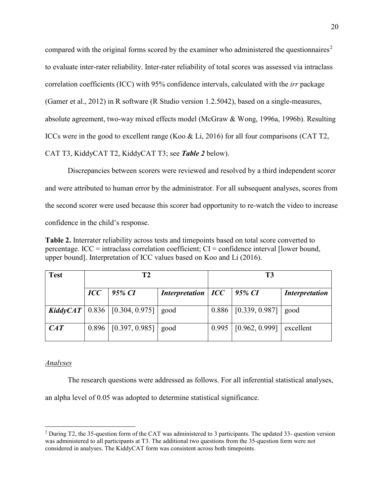compared with the original forms scored by the examiner who administered the questionnaires<sup>[2](#page-19-0)</sup> to evaluate inter-rater reliability. Inter-rater reliability of total scores was assessed via intraclass correlation coefficients (ICC) with 95% confidence intervals, calculated with the *irr* package (Gamer et al., 2012) in R software (R Studio version 1.2.5042), based on a single-measures, absolute agreement, two-way mixed effects model (McGraw & Wong, 1996a, 1996b). Resulting ICCs were in the good to excellent range (Koo & Li, 2016) for all four comparisons (CAT T2, CAT T3, KiddyCAT T2, KiddyCAT T3; see *Table 2* below).

Discrepancies between scorers were reviewed and resolved by a third independent scorer and were attributed to human error by the administrator. For all subsequent analyses, scores from the second scorer were used because this scorer had opportunity to re-watch the video to increase confidence in the child's response.

**Table 2.** Interrater reliability across tests and timepoints based on total score converted to percentage. ICC = intraclass correlation coefficient; CI = confidence interval [lower bound, upper bound]. Interpretation of ICC values based on Koo and Li (2016).

| <b>Test</b> | Т2             |                                              |                                   | T3    |                          |                       |  |  |
|-------------|----------------|----------------------------------------------|-----------------------------------|-------|--------------------------|-----------------------|--|--|
|             | $\mathbf{ICC}$ | $95\%$ CI                                    | Interpretation   $ICC$   95% $CI$ |       |                          | <i>Interpretation</i> |  |  |
|             |                | KiddyCAT   $0.836$   $[0.304, 0.975]$   good |                                   |       | $0.886$ [ [0.339, 0.987] | good                  |  |  |
| CAT         |                | $0.896$   [0.397, 0.985]   good              |                                   | 0.995 | [0.962, 0.999]           | excellent             |  |  |

# *Analyses*

The research questions were addressed as follows. For all inferential statistical analyses,

an alpha level of 0.05 was adopted to determine statistical significance.

<span id="page-19-0"></span> $\overline{a}$ <sup>2</sup> During T2, the 35-question form of the CAT was administered to 3 participants. The updated 33- question version was administered to all participants at T3. The additional two questions from the 35-question form were not considered in analyses. The KiddyCAT form was consistent across both timepoints.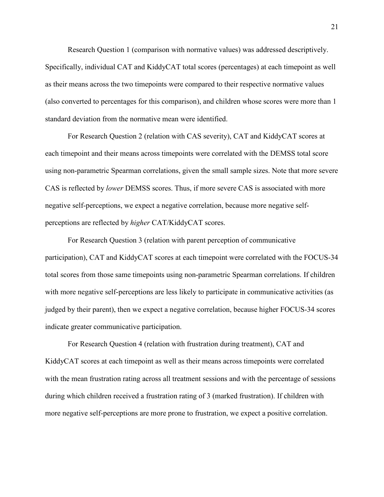Research Question 1 (comparison with normative values) was addressed descriptively. Specifically, individual CAT and KiddyCAT total scores (percentages) at each timepoint as well as their means across the two timepoints were compared to their respective normative values (also converted to percentages for this comparison), and children whose scores were more than 1 standard deviation from the normative mean were identified.

For Research Question 2 (relation with CAS severity), CAT and KiddyCAT scores at each timepoint and their means across timepoints were correlated with the DEMSS total score using non-parametric Spearman correlations, given the small sample sizes. Note that more severe CAS is reflected by *lower* DEMSS scores. Thus, if more severe CAS is associated with more negative self-perceptions, we expect a negative correlation, because more negative selfperceptions are reflected by *higher* CAT/KiddyCAT scores.

For Research Question 3 (relation with parent perception of communicative participation), CAT and KiddyCAT scores at each timepoint were correlated with the FOCUS-34 total scores from those same timepoints using non-parametric Spearman correlations. If children with more negative self-perceptions are less likely to participate in communicative activities (as judged by their parent), then we expect a negative correlation, because higher FOCUS-34 scores indicate greater communicative participation.

For Research Question 4 (relation with frustration during treatment), CAT and KiddyCAT scores at each timepoint as well as their means across timepoints were correlated with the mean frustration rating across all treatment sessions and with the percentage of sessions during which children received a frustration rating of 3 (marked frustration). If children with more negative self-perceptions are more prone to frustration, we expect a positive correlation.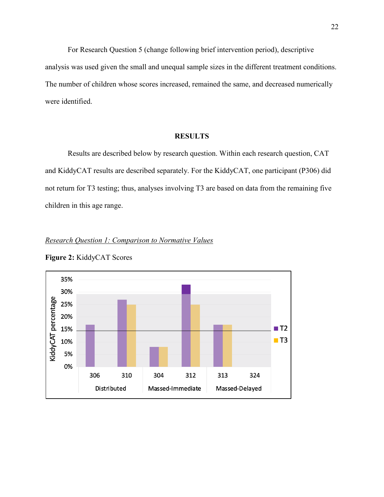For Research Question 5 (change following brief intervention period), descriptive analysis was used given the small and unequal sample sizes in the different treatment conditions. The number of children whose scores increased, remained the same, and decreased numerically were identified.

# **RESULTS**

Results are described below by research question. Within each research question, CAT and KiddyCAT results are described separately. For the KiddyCAT, one participant (P306) did not return for T3 testing; thus, analyses involving T3 are based on data from the remaining five children in this age range.





**Figure 2:** KiddyCAT Scores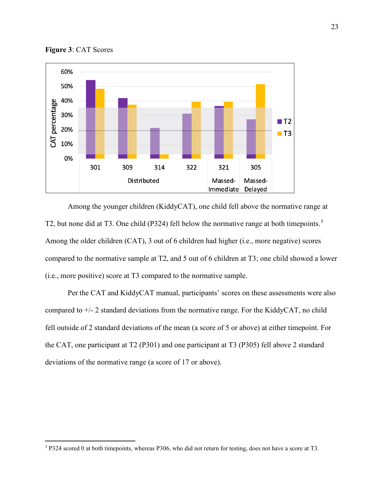

**Figure 3**: CAT Scores

 $\overline{a}$ 

Among the younger children (KiddyCAT), one child fell above the normative range at T2, but none did at T[3](#page-22-0). One child (P324) fell below the normative range at both timepoints.<sup>3</sup> Among the older children (CAT), 3 out of 6 children had higher (i.e., more negative) scores compared to the normative sample at T2, and 5 out of 6 children at T3; one child showed a lower (i.e., more positive) score at T3 compared to the normative sample.

Per the CAT and KiddyCAT manual, participants' scores on these assessments were also compared to  $+/-$  2 standard deviations from the normative range. For the KiddyCAT, no child fell outside of 2 standard deviations of the mean (a score of 5 or above) at either timepoint. For the CAT, one participant at T2 (P301) and one participant at T3 (P305) fell above 2 standard deviations of the normative range (a score of 17 or above).

<span id="page-22-0"></span><sup>&</sup>lt;sup>3</sup> P324 scored 0 at both timepoints, whereas P306, who did not return for testing, does not have a score at T3.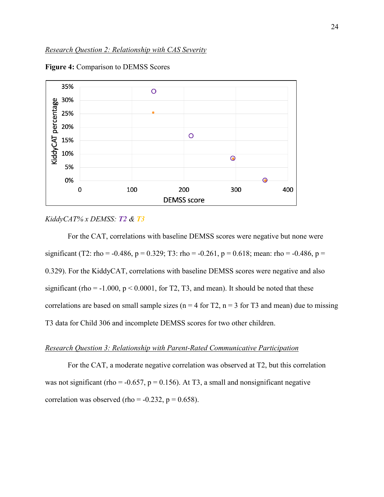

**Figure 4:** Comparison to DEMSS Scores

#### *KiddyCAT% x DEMSS: T2 & T3*

For the CAT, correlations with baseline DEMSS scores were negative but none were significant (T2: rho = -0.486, p = 0.329; T3: rho = -0.261, p = 0.618; mean: rho = -0.486, p = 0.329). For the KiddyCAT, correlations with baseline DEMSS scores were negative and also significant (rho =  $-1.000$ ,  $p < 0.0001$ , for T2, T3, and mean). It should be noted that these correlations are based on small sample sizes ( $n = 4$  for T2,  $n = 3$  for T3 and mean) due to missing T3 data for Child 306 and incomplete DEMSS scores for two other children.

## *Research Question 3: Relationship with Parent-Rated Communicative Participation*

 For the CAT, a moderate negative correlation was observed at T2, but this correlation was not significant (rho = -0.657,  $p = 0.156$ ). At T3, a small and nonsignificant negative correlation was observed (rho =  $-0.232$ , p = 0.658).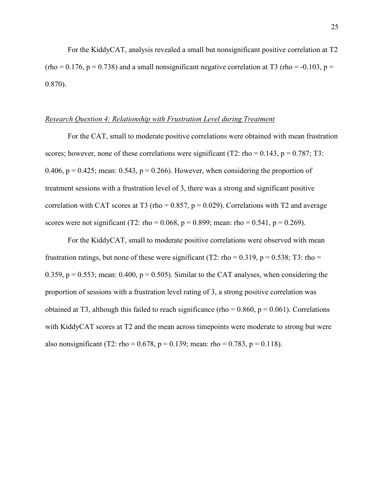For the KiddyCAT, analysis revealed a small but nonsignificant positive correlation at T2  $(rho = 0.176, p = 0.738)$  and a small nonsignificant negative correlation at T3  $(rho = -0.103, p = 0.103)$ 0.870).

## *Research Question 4: Relationship with Frustration Level during Treatment*

For the CAT, small to moderate positive correlations were obtained with mean frustration scores; however, none of these correlations were significant (T2: rho =  $0.143$ , p =  $0.787$ ; T3: 0.406,  $p = 0.425$ ; mean: 0.543,  $p = 0.266$ ). However, when considering the proportion of treatment sessions with a frustration level of 3, there was a strong and significant positive correlation with CAT scores at T3 (rho =  $0.857$ ,  $p = 0.029$ ). Correlations with T2 and average scores were not significant (T2: rho = 0.068, p = 0.899; mean: rho = 0.541, p = 0.269).

 For the KiddyCAT, small to moderate positive correlations were observed with mean frustration ratings, but none of these were significant (T2: rho =  $0.319$ , p =  $0.538$ ; T3: rho = 0.359,  $p = 0.553$ ; mean: 0.400,  $p = 0.505$ ). Similar to the CAT analyses, when considering the proportion of sessions with a frustration level rating of 3, a strong positive correlation was obtained at T3, although this failed to reach significance (rho =  $0.860$ ,  $p = 0.061$ ). Correlations with KiddyCAT scores at T2 and the mean across timepoints were moderate to strong but were also nonsignificant (T2: rho = 0.678, p = 0.139; mean: rho = 0.783, p = 0.118).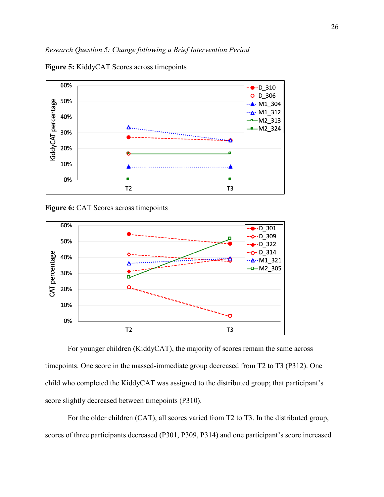

**Figure 5:** KiddyCAT Scores across timepoints

**Figure 6:** CAT Scores across timepoints



For younger children (KiddyCAT), the majority of scores remain the same across timepoints. One score in the massed-immediate group decreased from T2 to T3 (P312). One child who completed the KiddyCAT was assigned to the distributed group; that participant's score slightly decreased between timepoints (P310).

For the older children (CAT), all scores varied from T2 to T3. In the distributed group, scores of three participants decreased (P301, P309, P314) and one participant's score increased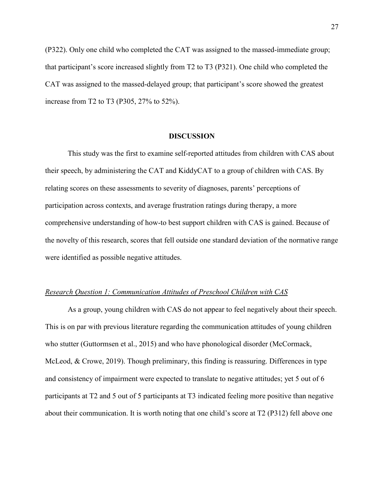(P322). Only one child who completed the CAT was assigned to the massed-immediate group; that participant's score increased slightly from T2 to T3 (P321). One child who completed the CAT was assigned to the massed-delayed group; that participant's score showed the greatest increase from T2 to T3 (P305, 27% to 52%).

### **DISCUSSION**

This study was the first to examine self-reported attitudes from children with CAS about their speech, by administering the CAT and KiddyCAT to a group of children with CAS. By relating scores on these assessments to severity of diagnoses, parents' perceptions of participation across contexts, and average frustration ratings during therapy, a more comprehensive understanding of how-to best support children with CAS is gained. Because of the novelty of this research, scores that fell outside one standard deviation of the normative range were identified as possible negative attitudes.

### *Research Question 1: Communication Attitudes of Preschool Children with CAS*

As a group, young children with CAS do not appear to feel negatively about their speech. This is on par with previous literature regarding the communication attitudes of young children who stutter (Guttormsen et al., 2015) and who have phonological disorder (McCormack, McLeod, & Crowe, 2019). Though preliminary, this finding is reassuring. Differences in type and consistency of impairment were expected to translate to negative attitudes; yet 5 out of 6 participants at T2 and 5 out of 5 participants at T3 indicated feeling more positive than negative about their communication. It is worth noting that one child's score at T2 (P312) fell above one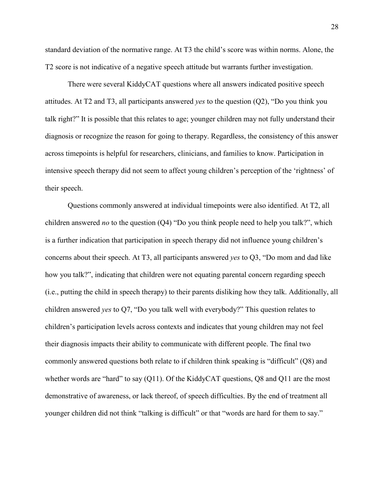standard deviation of the normative range. At T3 the child's score was within norms. Alone, the T2 score is not indicative of a negative speech attitude but warrants further investigation.

There were several KiddyCAT questions where all answers indicated positive speech attitudes. At T2 and T3, all participants answered *yes* to the question (Q2), "Do you think you talk right?" It is possible that this relates to age; younger children may not fully understand their diagnosis or recognize the reason for going to therapy. Regardless, the consistency of this answer across timepoints is helpful for researchers, clinicians, and families to know. Participation in intensive speech therapy did not seem to affect young children's perception of the 'rightness' of their speech.

Questions commonly answered at individual timepoints were also identified. At T2, all children answered *no* to the question (Q4) "Do you think people need to help you talk?", which is a further indication that participation in speech therapy did not influence young children's concerns about their speech. At T3, all participants answered *yes* to Q3, "Do mom and dad like how you talk?", indicating that children were not equating parental concern regarding speech (i.e., putting the child in speech therapy) to their parents disliking how they talk. Additionally, all children answered *yes* to Q7, "Do you talk well with everybody?" This question relates to children's participation levels across contexts and indicates that young children may not feel their diagnosis impacts their ability to communicate with different people. The final two commonly answered questions both relate to if children think speaking is "difficult" (Q8) and whether words are "hard" to say (Q11). Of the KiddyCAT questions, Q8 and Q11 are the most demonstrative of awareness, or lack thereof, of speech difficulties. By the end of treatment all younger children did not think "talking is difficult" or that "words are hard for them to say."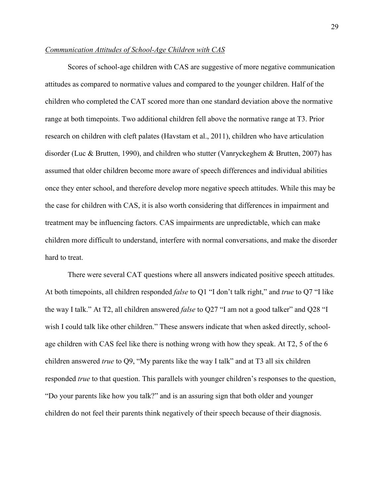## *Communication Attitudes of School-Age Children with CAS*

Scores of school-age children with CAS are suggestive of more negative communication attitudes as compared to normative values and compared to the younger children. Half of the children who completed the CAT scored more than one standard deviation above the normative range at both timepoints. Two additional children fell above the normative range at T3. Prior research on children with cleft palates (Havstam et al., 2011), children who have articulation disorder (Luc & Brutten, 1990), and children who stutter (Vanryckeghem & Brutten, 2007) has assumed that older children become more aware of speech differences and individual abilities once they enter school, and therefore develop more negative speech attitudes. While this may be the case for children with CAS, it is also worth considering that differences in impairment and treatment may be influencing factors. CAS impairments are unpredictable, which can make children more difficult to understand, interfere with normal conversations, and make the disorder hard to treat.

There were several CAT questions where all answers indicated positive speech attitudes. At both timepoints, all children responded *false* to Q1 "I don't talk right," and *true* to Q7 "I like the way I talk." At T2, all children answered *false* to Q27 "I am not a good talker" and Q28 "I wish I could talk like other children." These answers indicate that when asked directly, schoolage children with CAS feel like there is nothing wrong with how they speak. At T2, 5 of the 6 children answered *true* to Q9, "My parents like the way I talk" and at T3 all six children responded *true* to that question. This parallels with younger children's responses to the question, "Do your parents like how you talk?" and is an assuring sign that both older and younger children do not feel their parents think negatively of their speech because of their diagnosis.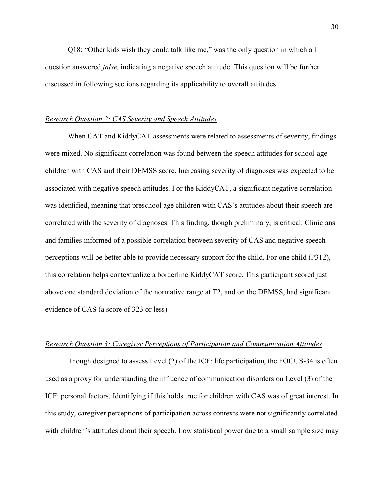Q18: "Other kids wish they could talk like me," was the only question in which all question answered *false,* indicating a negative speech attitude. This question will be further discussed in following sections regarding its applicability to overall attitudes.

## *Research Question 2: CAS Severity and Speech Attitudes*

When CAT and KiddyCAT assessments were related to assessments of severity, findings were mixed. No significant correlation was found between the speech attitudes for school-age children with CAS and their DEMSS score. Increasing severity of diagnoses was expected to be associated with negative speech attitudes. For the KiddyCAT, a significant negative correlation was identified, meaning that preschool age children with CAS's attitudes about their speech are correlated with the severity of diagnoses. This finding, though preliminary, is critical. Clinicians and families informed of a possible correlation between severity of CAS and negative speech perceptions will be better able to provide necessary support for the child. For one child (P312), this correlation helps contextualize a borderline KiddyCAT score. This participant scored just above one standard deviation of the normative range at T2, and on the DEMSS, had significant evidence of CAS (a score of 323 or less).

## *Research Question 3: Caregiver Perceptions of Participation and Communication Attitudes*

Though designed to assess Level (2) of the ICF: life participation, the FOCUS-34 is often used as a proxy for understanding the influence of communication disorders on Level (3) of the ICF: personal factors. Identifying if this holds true for children with CAS was of great interest. In this study, caregiver perceptions of participation across contexts were not significantly correlated with children's attitudes about their speech. Low statistical power due to a small sample size may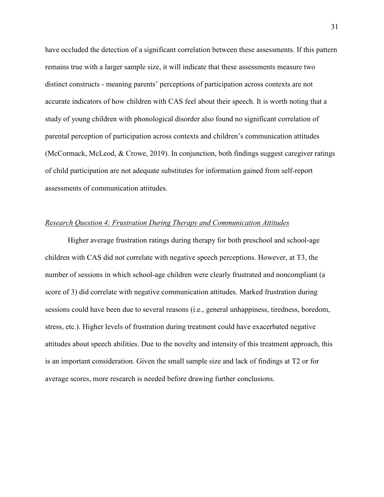have occluded the detection of a significant correlation between these assessments. If this pattern remains true with a larger sample size, it will indicate that these assessments measure two distinct constructs - meaning parents' perceptions of participation across contexts are not accurate indicators of how children with CAS feel about their speech. It is worth noting that a study of young children with phonological disorder also found no significant correlation of parental perception of participation across contexts and children's communication attitudes (McCormack, McLeod, & Crowe, 2019). In conjunction, both findings suggest caregiver ratings of child participation are not adequate substitutes for information gained from self-report assessments of communication attitudes.

## *Research Question 4: Frustration During Therapy and Communication Attitudes*

Higher average frustration ratings during therapy for both preschool and school-age children with CAS did not correlate with negative speech perceptions. However, at T3, the number of sessions in which school-age children were clearly frustrated and noncompliant (a score of 3) did correlate with negative communication attitudes. Marked frustration during sessions could have been due to several reasons (i.e., general unhappiness, tiredness, boredom, stress, etc.). Higher levels of frustration during treatment could have exacerbated negative attitudes about speech abilities. Due to the novelty and intensity of this treatment approach, this is an important consideration. Given the small sample size and lack of findings at T2 or for average scores, more research is needed before drawing further conclusions.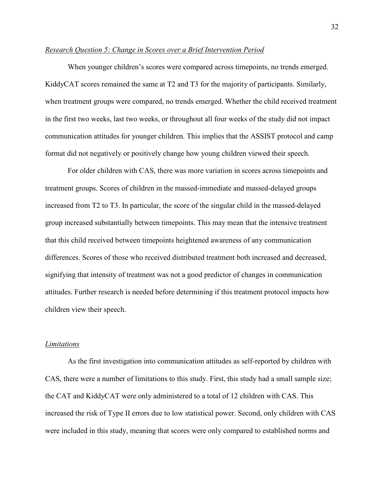## *Research Question 5: Change in Scores over a Brief Intervention Period*

When younger children's scores were compared across timepoints, no trends emerged. KiddyCAT scores remained the same at T2 and T3 for the majority of participants. Similarly, when treatment groups were compared, no trends emerged. Whether the child received treatment in the first two weeks, last two weeks, or throughout all four weeks of the study did not impact communication attitudes for younger children. This implies that the ASSIST protocol and camp format did not negatively or positively change how young children viewed their speech.

For older children with CAS, there was more variation in scores across timepoints and treatment groups. Scores of children in the massed-immediate and massed-delayed groups increased from T2 to T3. In particular, the score of the singular child in the massed-delayed group increased substantially between timepoints. This may mean that the intensive treatment that this child received between timepoints heightened awareness of any communication differences. Scores of those who received distributed treatment both increased and decreased, signifying that intensity of treatment was not a good predictor of changes in communication attitudes. Further research is needed before determining if this treatment protocol impacts how children view their speech.

## *Limitations*

As the first investigation into communication attitudes as self-reported by children with CAS, there were a number of limitations to this study. First, this study had a small sample size; the CAT and KiddyCAT were only administered to a total of 12 children with CAS. This increased the risk of Type II errors due to low statistical power. Second, only children with CAS were included in this study, meaning that scores were only compared to established norms and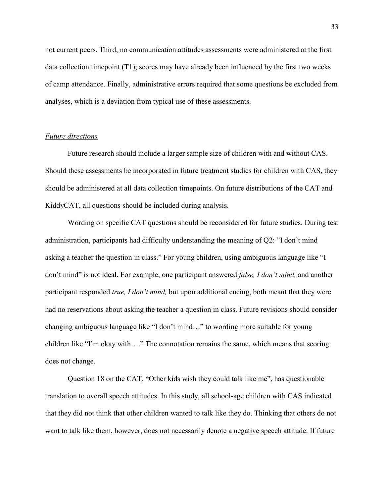not current peers. Third, no communication attitudes assessments were administered at the first data collection timepoint (T1); scores may have already been influenced by the first two weeks of camp attendance. Finally, administrative errors required that some questions be excluded from analyses, which is a deviation from typical use of these assessments.

## *Future directions*

Future research should include a larger sample size of children with and without CAS. Should these assessments be incorporated in future treatment studies for children with CAS, they should be administered at all data collection timepoints. On future distributions of the CAT and KiddyCAT, all questions should be included during analysis.

Wording on specific CAT questions should be reconsidered for future studies. During test administration, participants had difficulty understanding the meaning of Q2: "I don't mind asking a teacher the question in class." For young children, using ambiguous language like "I don't mind" is not ideal. For example, one participant answered *false, I don't mind,* and another participant responded *true, I don't mind,* but upon additional cueing, both meant that they were had no reservations about asking the teacher a question in class. Future revisions should consider changing ambiguous language like "I don't mind…" to wording more suitable for young children like "I'm okay with…." The connotation remains the same, which means that scoring does not change.

Question 18 on the CAT, "Other kids wish they could talk like me", has questionable translation to overall speech attitudes. In this study, all school-age children with CAS indicated that they did not think that other children wanted to talk like they do. Thinking that others do not want to talk like them, however, does not necessarily denote a negative speech attitude. If future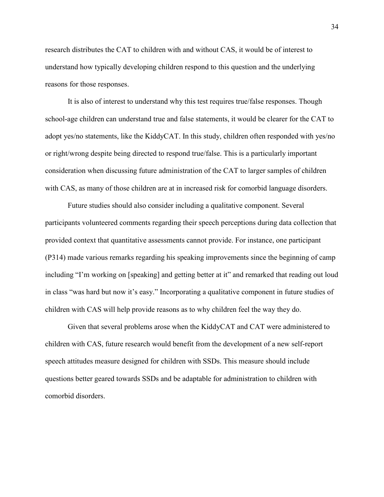research distributes the CAT to children with and without CAS, it would be of interest to understand how typically developing children respond to this question and the underlying reasons for those responses.

It is also of interest to understand why this test requires true/false responses. Though school-age children can understand true and false statements, it would be clearer for the CAT to adopt yes/no statements, like the KiddyCAT. In this study, children often responded with yes/no or right/wrong despite being directed to respond true/false. This is a particularly important consideration when discussing future administration of the CAT to larger samples of children with CAS, as many of those children are at in increased risk for comorbid language disorders.

Future studies should also consider including a qualitative component. Several participants volunteered comments regarding their speech perceptions during data collection that provided context that quantitative assessments cannot provide. For instance, one participant (P314) made various remarks regarding his speaking improvements since the beginning of camp including "I'm working on [speaking] and getting better at it" and remarked that reading out loud in class "was hard but now it's easy." Incorporating a qualitative component in future studies of children with CAS will help provide reasons as to why children feel the way they do.

Given that several problems arose when the KiddyCAT and CAT were administered to children with CAS, future research would benefit from the development of a new self-report speech attitudes measure designed for children with SSDs. This measure should include questions better geared towards SSDs and be adaptable for administration to children with comorbid disorders.

34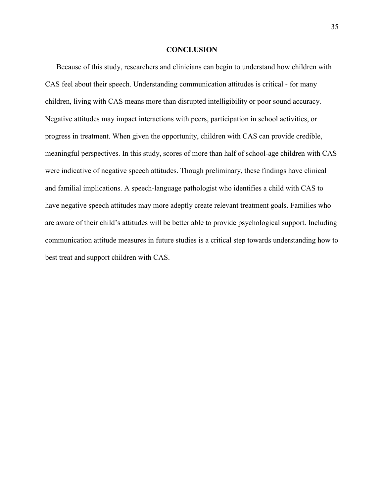### **CONCLUSION**

Because of this study, researchers and clinicians can begin to understand how children with CAS feel about their speech. Understanding communication attitudes is critical - for many children, living with CAS means more than disrupted intelligibility or poor sound accuracy. Negative attitudes may impact interactions with peers, participation in school activities, or progress in treatment. When given the opportunity, children with CAS can provide credible, meaningful perspectives. In this study, scores of more than half of school-age children with CAS were indicative of negative speech attitudes. Though preliminary, these findings have clinical and familial implications. A speech-language pathologist who identifies a child with CAS to have negative speech attitudes may more adeptly create relevant treatment goals. Families who are aware of their child's attitudes will be better able to provide psychological support. Including communication attitude measures in future studies is a critical step towards understanding how to best treat and support children with CAS.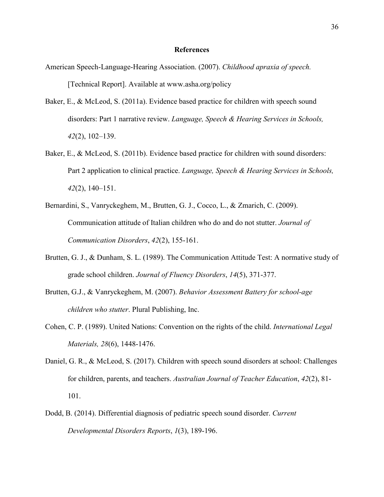### **References**

- American Speech-Language-Hearing Association. (2007). *Childhood apraxia of speech.* [Technical Report]. Available at www.asha.org/policy
- Baker, E., & McLeod, S. (2011a). Evidence based practice for children with speech sound disorders: Part 1 narrative review. *Language, Speech & Hearing Services in Schools, 42*(2), 102–139.
- Baker, E., & McLeod, S. (2011b). Evidence based practice for children with sound disorders: Part 2 application to clinical practice. *Language, Speech & Hearing Services in Schools, 42*(2), 140–151.
- Bernardini, S., Vanryckeghem, M., Brutten, G. J., Cocco, L., & Zmarich, C. (2009). Communication attitude of Italian children who do and do not stutter. *Journal of Communication Disorders*, *42*(2), 155-161.
- Brutten, G. J., & Dunham, S. L. (1989). The Communication Attitude Test: A normative study of grade school children. *Journal of Fluency Disorders*, *14*(5), 371-377.
- Brutten, G.J., & Vanryckeghem, M. (2007). *Behavior Assessment Battery for school-age children who stutter*. Plural Publishing, Inc.
- Cohen, C. P. (1989). United Nations: Convention on the rights of the child. *International Legal Materials, 28*(6), 1448-1476.
- Daniel, G. R., & McLeod, S. (2017). Children with speech sound disorders at school: Challenges for children, parents, and teachers. *Australian Journal of Teacher Education*, *42*(2), 81- 101.
- Dodd, B. (2014). Differential diagnosis of pediatric speech sound disorder. *Current Developmental Disorders Reports*, *1*(3), 189-196.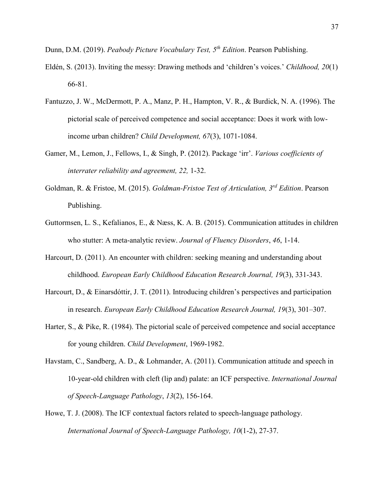Dunn, D.M. (2019). *Peabody Picture Vocabulary Test, 5th Edition*. Pearson Publishing.

- Eldén, S. (2013). Inviting the messy: Drawing methods and 'children's voices.' *Childhood, 20*(1) 66-81.
- Fantuzzo, J. W., McDermott, P. A., Manz, P. H., Hampton, V. R., & Burdick, N. A. (1996). The pictorial scale of perceived competence and social acceptance: Does it work with low‐ income urban children? *Child Development, 67*(3), 1071-1084.
- Gamer, M., Lemon, J., Fellows, I., & Singh, P. (2012). Package 'irr'. *Various coefficients of interrater reliability and agreement, 22,* 1-32.
- Goldman, R. & Fristoe, M. (2015). *Goldman-Fristoe Test of Articulation, 3rd Edition*. Pearson Publishing.
- Guttormsen, L. S., Kefalianos, E., & Næss, K. A. B. (2015). Communication attitudes in children who stutter: A meta-analytic review. *Journal of Fluency Disorders*, *46*, 1-14.
- Harcourt, D. (2011). An encounter with children: seeking meaning and understanding about childhood. *European Early Childhood Education Research Journal, 19*(3), 331-343.
- Harcourt, D., & Einarsdóttir, J. T. (2011). Introducing children's perspectives and participation in research. *European Early Childhood Education Research Journal, 19*(3), 301–307.
- Harter, S., & Pike, R. (1984). The pictorial scale of perceived competence and social acceptance for young children. *Child Development*, 1969-1982.
- Havstam, C., Sandberg, A. D., & Lohmander, A. (2011). Communication attitude and speech in 10-year-old children with cleft (lip and) palate: an ICF perspective. *International Journal of Speech-Language Pathology*, *13*(2), 156-164.
- Howe, T. J. (2008). The ICF contextual factors related to speech-language pathology. *International Journal of Speech-Language Pathology, 10*(1-2), 27-37.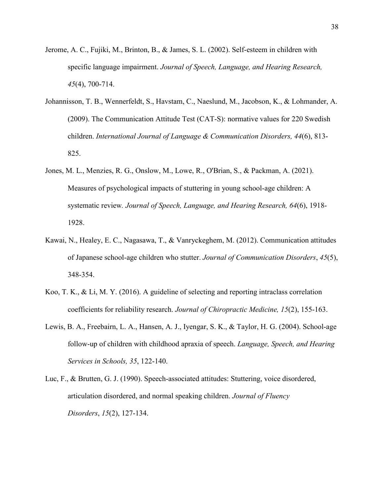- Jerome, A. C., Fujiki, M., Brinton, B., & James, S. L. (2002). Self-esteem in children with specific language impairment. *Journal of Speech, Language, and Hearing Research, 45*(4), 700-714.
- Johannisson, T. B., Wennerfeldt, S., Havstam, C., Naeslund, M., Jacobson, K., & Lohmander, A. (2009). The Communication Attitude Test (CAT‐S): normative values for 220 Swedish children. *International Journal of Language & Communication Disorders, 44*(6), 813- 825.
- Jones, M. L., Menzies, R. G., Onslow, M., Lowe, R., O'Brian, S., & Packman, A. (2021). Measures of psychological impacts of stuttering in young school-age children: A systematic review*. Journal of Speech, Language, and Hearing Research, 64*(6), 1918- 1928.
- Kawai, N., Healey, E. C., Nagasawa, T., & Vanryckeghem, M. (2012). Communication attitudes of Japanese school-age children who stutter. *Journal of Communication Disorders*, *45*(5), 348-354.
- Koo, T. K., & Li, M. Y. (2016). A guideline of selecting and reporting intraclass correlation coefficients for reliability research. *Journal of Chiropractic Medicine, 15*(2), 155-163.
- Lewis, B. A., Freebairn, L. A., Hansen, A. J., Iyengar, S. K., & Taylor, H. G. (2004). School-age follow-up of children with childhood apraxia of speech. *Language, Speech, and Hearing Services in Schools, 35*, 122-140.
- Luc, F., & Brutten, G. J. (1990). Speech-associated attitudes: Stuttering, voice disordered, articulation disordered, and normal speaking children. *Journal of Fluency Disorders*, *15*(2), 127-134.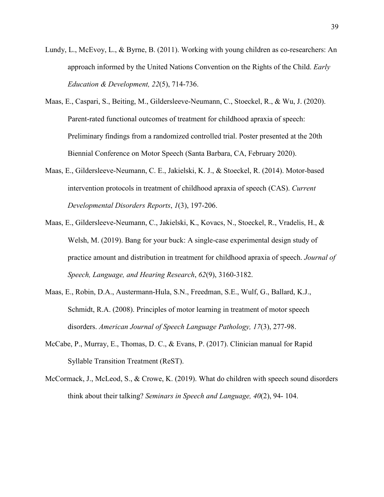- Lundy, L., McEvoy, L., & Byrne, B. (2011). Working with young children as co-researchers: An approach informed by the United Nations Convention on the Rights of the Child. *Early Education & Development, 22*(5), 714-736.
- Maas, E., Caspari, S., Beiting, M., Gildersleeve-Neumann, C., Stoeckel, R., & Wu, J. (2020). Parent-rated functional outcomes of treatment for childhood apraxia of speech: Preliminary findings from a randomized controlled trial. Poster presented at the 20th Biennial Conference on Motor Speech (Santa Barbara, CA, February 2020).
- Maas, E., Gildersleeve-Neumann, C. E., Jakielski, K. J., & Stoeckel, R. (2014). Motor-based intervention protocols in treatment of childhood apraxia of speech (CAS). *Current Developmental Disorders Reports*, *1*(3), 197-206.
- Maas, E., Gildersleeve-Neumann, C., Jakielski, K., Kovacs, N., Stoeckel, R., Vradelis, H., & Welsh, M. (2019). Bang for your buck: A single-case experimental design study of practice amount and distribution in treatment for childhood apraxia of speech. *Journal of Speech, Language, and Hearing Research*, *62*(9), 3160-3182.
- Maas, E., Robin, D.A., Austermann-Hula, S.N., Freedman, S.E., Wulf, G., Ballard, K.J., Schmidt, R.A. (2008). Principles of motor learning in treatment of motor speech disorders. *American Journal of Speech Language Pathology, 17*(3), 277-98.
- McCabe, P., Murray, E., Thomas, D. C., & Evans, P. (2017). Clinician manual for Rapid Syllable Transition Treatment (ReST).
- McCormack, J., McLeod, S., & Crowe, K. (2019). What do children with speech sound disorders think about their talking? *Seminars in Speech and Language, 40*(2), 94- 104.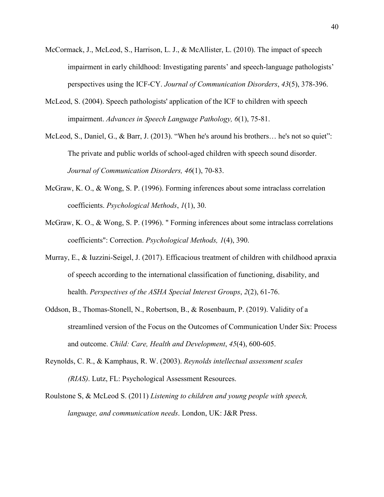- McCormack, J., McLeod, S., Harrison, L. J., & McAllister, L. (2010). The impact of speech impairment in early childhood: Investigating parents' and speech-language pathologists' perspectives using the ICF-CY. *Journal of Communication Disorders*, *43*(5), 378-396.
- McLeod, S. (2004). Speech pathologists' application of the ICF to children with speech impairment. *Advances in Speech Language Pathology, 6*(1), 75-81.
- McLeod, S., Daniel, G., & Barr, J. (2013). "When he's around his brothers… he's not so quiet": The private and public worlds of school-aged children with speech sound disorder. *Journal of Communication Disorders, 46*(1), 70-83.
- McGraw, K. O., & Wong, S. P. (1996). Forming inferences about some intraclass correlation coefficients. *Psychological Methods*, *1*(1), 30.
- McGraw, K. O., & Wong, S. P. (1996). " Forming inferences about some intraclass correlations coefficients": Correction. *Psychological Methods, 1*(4), 390.
- Murray, E., & Iuzzini-Seigel, J. (2017). Efficacious treatment of children with childhood apraxia of speech according to the international classification of functioning, disability, and health. *Perspectives of the ASHA Special Interest Groups*, *2*(2), 61-76.
- Oddson, B., Thomas‐Stonell, N., Robertson, B., & Rosenbaum, P. (2019). Validity of a streamlined version of the Focus on the Outcomes of Communication Under Six: Process and outcome. *Child: Care, Health and Development*, *45*(4), 600-605.
- Reynolds, C. R., & Kamphaus, R. W. (2003). *Reynolds intellectual assessment scales (RIAS)*. Lutz, FL: Psychological Assessment Resources.
- Roulstone S, & McLeod S. (2011) *Listening to children and young people with speech, language, and communication needs*. London, UK: J&R Press.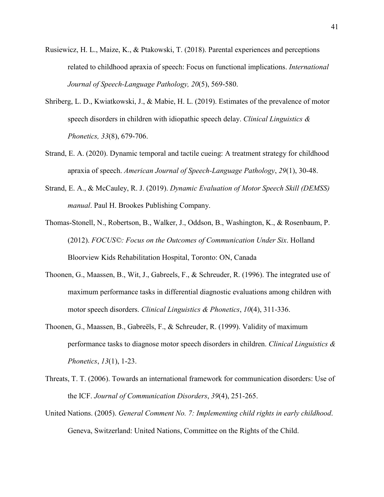- Rusiewicz, H. L., Maize, K., & Ptakowski, T. (2018). Parental experiences and perceptions related to childhood apraxia of speech: Focus on functional implications. *International Journal of Speech-Language Pathology, 20*(5), 569-580.
- Shriberg, L. D., Kwiatkowski, J., & Mabie, H. L. (2019). Estimates of the prevalence of motor speech disorders in children with idiopathic speech delay. *Clinical Linguistics & Phonetics, 33*(8), 679-706.
- Strand, E. A. (2020). Dynamic temporal and tactile cueing: A treatment strategy for childhood apraxia of speech. *American Journal of Speech-Language Pathology*, *29*(1), 30-48.
- Strand, E. A., & McCauley, R. J. (2019). *Dynamic Evaluation of Motor Speech Skill (DEMSS) manual*. Paul H. Brookes Publishing Company.
- Thomas-Stonell, N., Robertson, B., Walker, J., Oddson, B., Washington, K., & Rosenbaum, P. (2012). *FOCUS©: Focus on the Outcomes of Communication Under Six*. Holland Bloorview Kids Rehabilitation Hospital, Toronto: ON, Canada
- Thoonen, G., Maassen, B., Wit, J., Gabreels, F., & Schreuder, R. (1996). The integrated use of maximum performance tasks in differential diagnostic evaluations among children with motor speech disorders. *Clinical Linguistics & Phonetics*, *10*(4), 311-336.
- Thoonen, G., Maassen, B., Gabreëls, F., & Schreuder, R. (1999). Validity of maximum performance tasks to diagnose motor speech disorders in children. *Clinical Linguistics & Phonetics*, *13*(1), 1-23.
- Threats, T. T. (2006). Towards an international framework for communication disorders: Use of the ICF. *Journal of Communication Disorders*, *39*(4), 251-265.
- United Nations. (2005). *General Comment No. 7: Implementing child rights in early childhood*. Geneva, Switzerland: United Nations, Committee on the Rights of the Child.